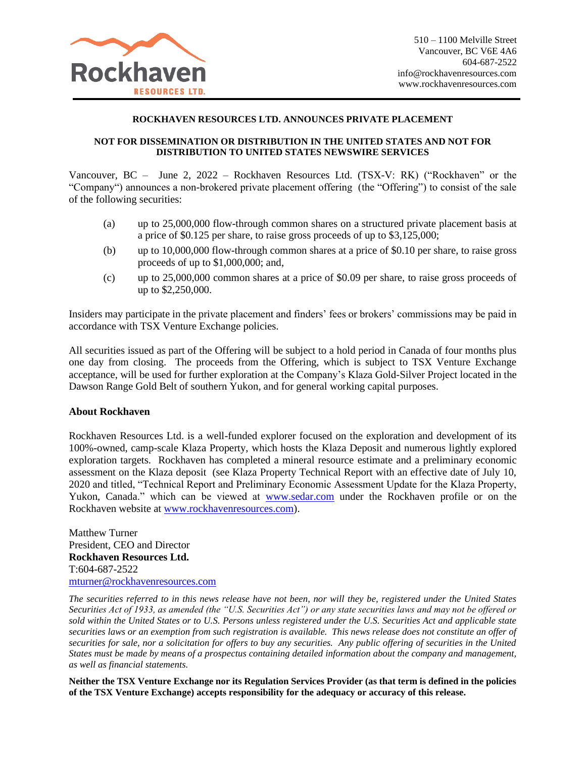

## **ROCKHAVEN RESOURCES LTD. ANNOUNCES PRIVATE PLACEMENT**

## **NOT FOR DISSEMINATION OR DISTRIBUTION IN THE UNITED STATES AND NOT FOR DISTRIBUTION TO UNITED STATES NEWSWIRE SERVICES**

Vancouver, BC – June 2, 2022 – Rockhaven Resources Ltd. (TSX-V: RK) ("Rockhaven" or the "Company") announces a non-brokered private placement offering (the "Offering") to consist of the sale of the following securities:

- (a) up to 25,000,000 flow-through common shares on a structured private placement basis at a price of \$0.125 per share, to raise gross proceeds of up to \$3,125,000;
- (b) up to 10,000,000 flow-through common shares at a price of \$0.10 per share, to raise gross proceeds of up to \$1,000,000; and,
- (c) up to 25,000,000 common shares at a price of \$0.09 per share, to raise gross proceeds of up to \$2,250,000.

Insiders may participate in the private placement and finders' fees or brokers' commissions may be paid in accordance with TSX Venture Exchange policies.

All securities issued as part of the Offering will be subject to a hold period in Canada of four months plus one day from closing. The proceeds from the Offering, which is subject to TSX Venture Exchange acceptance, will be used for further exploration at the Company's Klaza Gold-Silver Project located in the Dawson Range Gold Belt of southern Yukon, and for general working capital purposes.

## **About Rockhaven**

Rockhaven Resources Ltd. is a well-funded explorer focused on the exploration and development of its 100%-owned, camp-scale Klaza Property, which hosts the Klaza Deposit and numerous lightly explored exploration targets. Rockhaven has completed a mineral resource estimate and a preliminary economic assessment on the Klaza deposit (see Klaza Property Technical Report with an effective date of July 10, 2020 and titled, "Technical Report and Preliminary Economic Assessment Update for the Klaza Property, Yukon, Canada." which can be viewed at [www.sedar.com](http://www.sedar.com/) under the Rockhaven profile or on the Rockhaven website at [www.rockhavenresources.com\)](http://www.rockhavenresources.com/).

Matthew Turner President, CEO and Director **Rockhaven Resources Ltd.** T:604-687-2522 [mturner@rockhavenresources.com](mailto:mturner@rockhavenresources.com)

*The securities referred to in this news release have not been, nor will they be, registered under the United States Securities Act of 1933, as amended (the "U.S. Securities Act") or any state securities laws and may not be offered or sold within the United States or to U.S. Persons unless registered under the U.S. Securities Act and applicable state securities laws or an exemption from such registration is available. This news release does not constitute an offer of securities for sale, nor a solicitation for offers to buy any securities. Any public offering of securities in the United States must be made by means of a prospectus containing detailed information about the company and management, as well as financial statements.*

**Neither the TSX Venture Exchange nor its Regulation Services Provider (as that term is defined in the policies of the TSX Venture Exchange) accepts responsibility for the adequacy or accuracy of this release.**